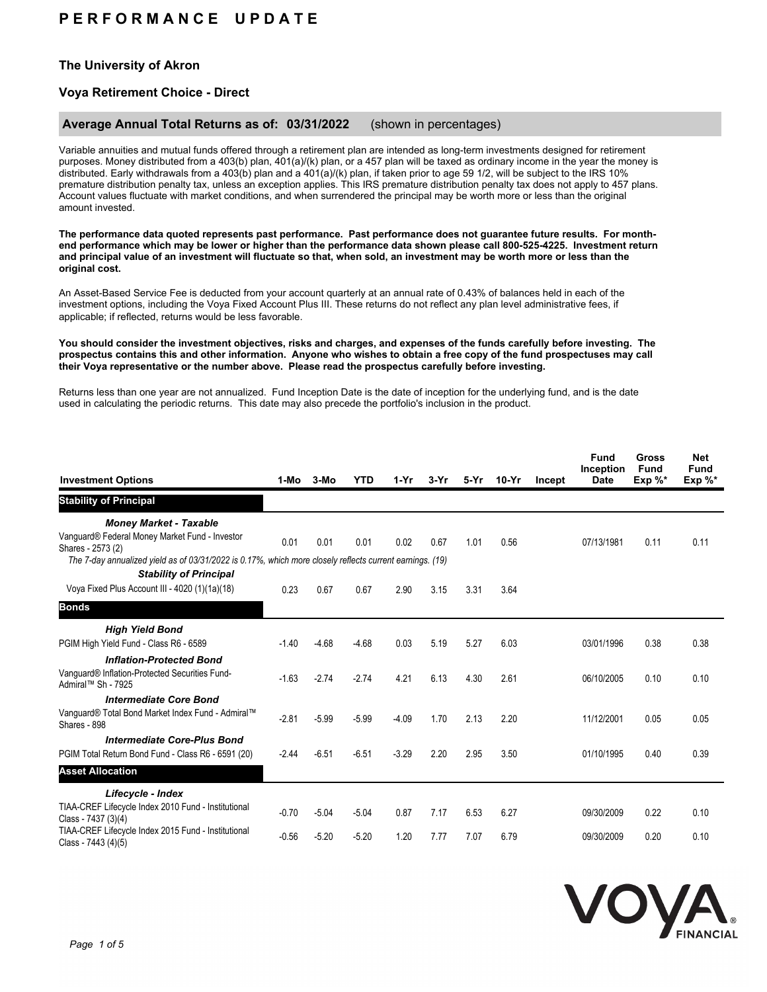# **P E R F O R M A N C E U P D A T E**

## **The University of Akron**

## **Voya Retirement Choice - Direct**

### **Average Annual Total Returns as of: 03/31/2022** (shown in percentages)

Variable annuities and mutual funds offered through a retirement plan are intended as long-term investments designed for retirement purposes. Money distributed from a 403(b) plan, 401(a)/(k) plan, or a 457 plan will be taxed as ordinary income in the year the money is distributed. Early withdrawals from a 403(b) plan and a 401(a)/(k) plan, if taken prior to age 59 1/2, will be subject to the IRS 10% premature distribution penalty tax, unless an exception applies. This IRS premature distribution penalty tax does not apply to 457 plans. Account values fluctuate with market conditions, and when surrendered the principal may be worth more or less than the original amount invested.

**The performance data quoted represents past performance. Past performance does not guarantee future results. For monthend performance which may be lower or higher than the performance data shown please call 800-525-4225. Investment return and principal value of an investment will fluctuate so that, when sold, an investment may be worth more or less than the original cost.**

An Asset-Based Service Fee is deducted from your account quarterly at an annual rate of 0.43% of balances held in each of the investment options, including the Voya Fixed Account Plus III. These returns do not reflect any plan level administrative fees, if applicable; if reflected, returns would be less favorable.

#### **You should consider the investment objectives, risks and charges, and expenses of the funds carefully before investing. The prospectus contains this and other information. Anyone who wishes to obtain a free copy of the fund prospectuses may call their Voya representative or the number above. Please read the prospectus carefully before investing.**

Returns less than one year are not annualized. Fund Inception Date is the date of inception for the underlying fund, and is the date used in calculating the periodic returns. This date may also precede the portfolio's inclusion in the product.

| <b>Investment Options</b>                                                                                                                                                                                        | 1-Mo    | $3-MO$  | <b>YTD</b> | $1-Yr$  | $3-Yr$ | 5-Yr | $10-Yr$ | Incept | <b>Fund</b><br>Inception<br><b>Date</b> | Gross<br><b>Fund</b><br>$Exp \%^*$ | <b>Net</b><br><b>Fund</b><br>Exp $\%^*$ |
|------------------------------------------------------------------------------------------------------------------------------------------------------------------------------------------------------------------|---------|---------|------------|---------|--------|------|---------|--------|-----------------------------------------|------------------------------------|-----------------------------------------|
| <b>Stability of Principal</b>                                                                                                                                                                                    |         |         |            |         |        |      |         |        |                                         |                                    |                                         |
| <b>Money Market - Taxable</b><br>Vanguard® Federal Money Market Fund - Investor<br>Shares - 2573 (2)<br>The 7-day annualized yield as of 03/31/2022 is 0.17%, which more closely reflects current earnings. (19) | 0.01    | 0.01    | 0.01       | 0.02    | 0.67   | 1.01 | 0.56    |        | 07/13/1981                              | 0.11                               | 0.11                                    |
| <b>Stability of Principal</b><br>Voya Fixed Plus Account III - 4020 (1)(1a)(18)                                                                                                                                  | 0.23    | 0.67    | 0.67       | 2.90    | 3.15   | 3.31 | 3.64    |        |                                         |                                    |                                         |
| <b>Bonds</b>                                                                                                                                                                                                     |         |         |            |         |        |      |         |        |                                         |                                    |                                         |
| <b>High Yield Bond</b><br>PGIM High Yield Fund - Class R6 - 6589                                                                                                                                                 | $-1.40$ | $-4.68$ | $-4.68$    | 0.03    | 5.19   | 5.27 | 6.03    |        | 03/01/1996                              | 0.38                               | 0.38                                    |
| <b>Inflation-Protected Bond</b><br>Vanguard® Inflation-Protected Securities Fund-<br>Admiral™ Sh - 7925                                                                                                          | $-1.63$ | $-2.74$ | $-2.74$    | 4.21    | 6.13   | 4.30 | 2.61    |        | 06/10/2005                              | 0.10                               | 0.10                                    |
| <b>Intermediate Core Bond</b><br>Vanguard® Total Bond Market Index Fund - Admiral™<br>Shares - 898                                                                                                               | $-2.81$ | $-5.99$ | $-5.99$    | $-4.09$ | 1.70   | 2.13 | 2.20    |        | 11/12/2001                              | 0.05                               | 0.05                                    |
| <b>Intermediate Core-Plus Bond</b><br>PGIM Total Return Bond Fund - Class R6 - 6591 (20)                                                                                                                         | $-2.44$ | $-6.51$ | $-6.51$    | $-3.29$ | 2.20   | 2.95 | 3.50    |        | 01/10/1995                              | 0.40                               | 0.39                                    |
| <b>Asset Allocation</b>                                                                                                                                                                                          |         |         |            |         |        |      |         |        |                                         |                                    |                                         |
| Lifecycle - Index<br>TIAA-CREF Lifecycle Index 2010 Fund - Institutional<br>Class - 7437 (3)(4)                                                                                                                  | $-0.70$ | $-5.04$ | $-5.04$    | 0.87    | 7.17   | 6.53 | 6.27    |        | 09/30/2009                              | 0.22                               | 0.10                                    |
| TIAA-CREF Lifecycle Index 2015 Fund - Institutional<br>Class - 7443 (4)(5)                                                                                                                                       | $-0.56$ | $-5.20$ | $-5.20$    | 1.20    | 7.77   | 7.07 | 6.79    |        | 09/30/2009                              | 0.20                               | 0.10                                    |

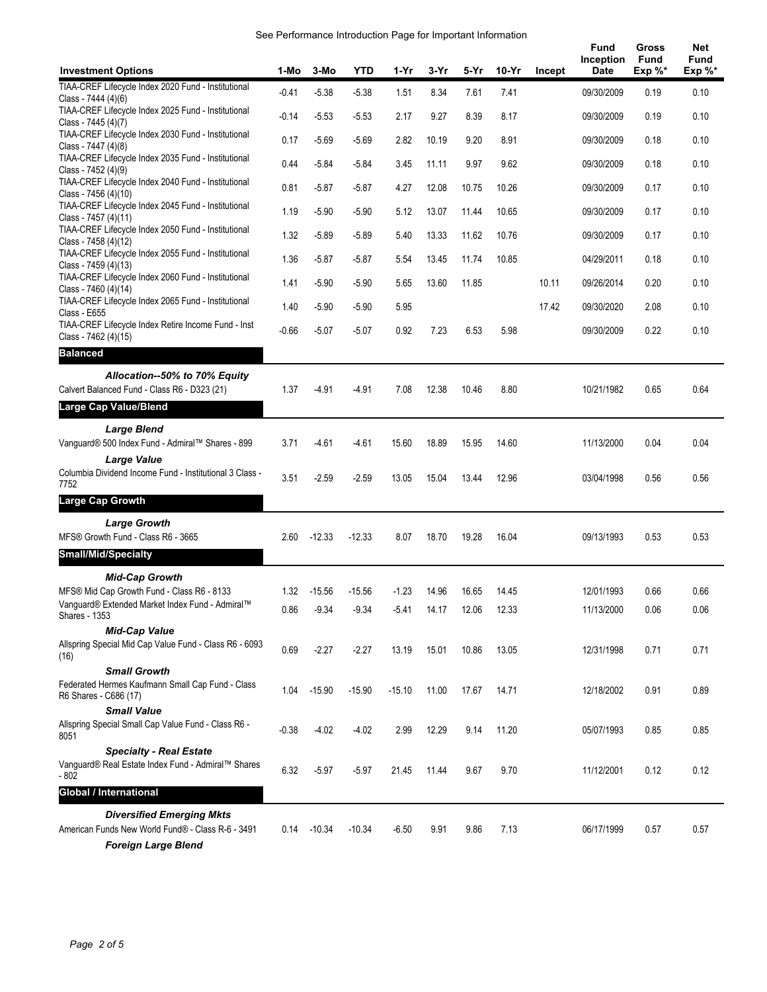| See Performance Introduction Page for Important Information |  |  |
|-------------------------------------------------------------|--|--|
|                                                             |  |  |

|                                                                                                                     |         |          |            |          |        |       |       |        | Fund<br><b>Inception</b> | Gross<br>Fund | Net<br>Fund |
|---------------------------------------------------------------------------------------------------------------------|---------|----------|------------|----------|--------|-------|-------|--------|--------------------------|---------------|-------------|
| <b>Investment Options</b><br>TIAA-CREF Lifecycle Index 2020 Fund - Institutional                                    | 1-Mo    | 3-Mo     | <b>YTD</b> | $1-Yr$   | $3-Yr$ | 5-Yr  | 10-Yr | Incept | Date                     | Exp $%^*$     | Exp $\%^*$  |
| Class - 7444 (4)(6)<br>TIAA-CREF Lifecycle Index 2025 Fund - Institutional                                          | $-0.41$ | $-5.38$  | $-5.38$    | 1.51     | 8.34   | 7.61  | 7.41  |        | 09/30/2009               | 0.19          | 0.10        |
| Class - 7445 (4)(7)                                                                                                 | $-0.14$ | $-5.53$  | $-5.53$    | 2.17     | 9.27   | 8.39  | 8.17  |        | 09/30/2009               | 0.19          | 0.10        |
| TIAA-CREF Lifecycle Index 2030 Fund - Institutional<br>Class - 7447 (4)(8)                                          | 0.17    | $-5.69$  | $-5.69$    | 2.82     | 10.19  | 9.20  | 8.91  |        | 09/30/2009               | 0.18          | 0.10        |
| TIAA-CREF Lifecycle Index 2035 Fund - Institutional<br>Class - 7452 (4)(9)                                          | 0.44    | $-5.84$  | $-5.84$    | 3.45     | 11.11  | 9.97  | 9.62  |        | 09/30/2009               | 0.18          | 0.10        |
| TIAA-CREF Lifecycle Index 2040 Fund - Institutional<br>Class - 7456 (4)(10)                                         | 0.81    | $-5.87$  | $-5.87$    | 4.27     | 12.08  | 10.75 | 10.26 |        | 09/30/2009               | 0.17          | 0.10        |
| TIAA-CREF Lifecycle Index 2045 Fund - Institutional<br>Class - 7457 (4)(11)                                         | 1.19    | $-5.90$  | $-5.90$    | 5.12     | 13.07  | 11.44 | 10.65 |        | 09/30/2009               | 0.17          | 0.10        |
| TIAA-CREF Lifecycle Index 2050 Fund - Institutional<br>Class - 7458 (4)(12)                                         | 1.32    | $-5.89$  | $-5.89$    | 5.40     | 13.33  | 11.62 | 10.76 |        | 09/30/2009               | 0.17          | 0.10        |
| TIAA-CREF Lifecycle Index 2055 Fund - Institutional<br>Class - 7459 (4)(13)                                         | 1.36    | $-5.87$  | $-5.87$    | 5.54     | 13.45  | 11.74 | 10.85 |        | 04/29/2011               | 0.18          | 0.10        |
| TIAA-CREF Lifecycle Index 2060 Fund - Institutional<br>Class - 7460 (4)(14)                                         | 1.41    | $-5.90$  | $-5.90$    | 5.65     | 13.60  | 11.85 |       | 10.11  | 09/26/2014               | 0.20          | 0.10        |
| TIAA-CREF Lifecycle Index 2065 Fund - Institutional<br>Class - E655                                                 | 1.40    | $-5.90$  | $-5.90$    | 5.95     |        |       |       | 17.42  | 09/30/2020               | 2.08          | 0.10        |
| TIAA-CREF Lifecycle Index Retire Income Fund - Inst<br>Class - 7462 (4)(15)                                         | $-0.66$ | $-5.07$  | $-5.07$    | 0.92     | 7.23   | 6.53  | 5.98  |        | 09/30/2009               | 0.22          | 0.10        |
| <b>Balanced</b>                                                                                                     |         |          |            |          |        |       |       |        |                          |               |             |
| Allocation--50% to 70% Equity<br>Calvert Balanced Fund - Class R6 - D323 (21)                                       | 1.37    | $-4.91$  | $-4.91$    | 7.08     | 12.38  | 10.46 | 8.80  |        | 10/21/1982               | 0.65          | 0.64        |
| <b>Large Cap Value/Blend</b>                                                                                        |         |          |            |          |        |       |       |        |                          |               |             |
| <b>Large Blend</b>                                                                                                  |         |          |            |          |        |       |       |        |                          |               |             |
| Vanguard® 500 Index Fund - Admiral™ Shares - 899                                                                    | 3.71    | $-4.61$  | $-4.61$    | 15.60    | 18.89  | 15.95 | 14.60 |        | 11/13/2000               | 0.04          | 0.04        |
| <b>Large Value</b><br>Columbia Dividend Income Fund - Institutional 3 Class -                                       |         |          |            |          |        |       |       |        |                          |               |             |
| 7752                                                                                                                | 3.51    | $-2.59$  | $-2.59$    | 13.05    | 15.04  | 13.44 | 12.96 |        | 03/04/1998               | 0.56          | 0.56        |
| <b>Large Cap Growth</b>                                                                                             |         |          |            |          |        |       |       |        |                          |               |             |
| <b>Large Growth</b><br>MFS® Growth Fund - Class R6 - 3665                                                           | 2.60    | $-12.33$ | $-12.33$   | 8.07     | 18.70  | 19.28 | 16.04 |        | 09/13/1993               | 0.53          | 0.53        |
| <b>Small/Mid/Specialty</b>                                                                                          |         |          |            |          |        |       |       |        |                          |               |             |
| <b>Mid-Cap Growth</b>                                                                                               |         |          |            |          |        |       |       |        |                          |               |             |
| MFS® Mid Cap Growth Fund - Class R6 - 8133<br>Vanguard® Extended Market Index Fund - Admiral™                       | 1.32    | $-15.56$ | $-15.56$   | $-1.23$  | 14.96  | 16.65 | 14.45 |        | 12/01/1993               | 0.66          | 0.66        |
| Shares - 1353                                                                                                       | 0.86    | $-9.34$  | -9.34      | -5.41    | 14.17  | 12.06 | 12.33 |        | 11/13/2000               | 0.06          | 0.06        |
| <b>Mid-Cap Value</b><br>Allspring Special Mid Cap Value Fund - Class R6 - 6093<br>(16)                              | 0.69    | $-2.27$  | $-2.27$    | 13.19    | 15.01  | 10.86 | 13.05 |        | 12/31/1998               | 0.71          | 0.71        |
| <b>Small Growth</b><br>Federated Hermes Kaufmann Small Cap Fund - Class                                             | 1.04    | $-15.90$ | $-15.90$   | $-15.10$ |        |       |       |        | 12/18/2002               | 0.91          | 0.89        |
| R6 Shares - C686 (17)<br><b>Small Value</b>                                                                         |         |          |            |          | 11.00  | 17.67 | 14.71 |        |                          |               |             |
| Allspring Special Small Cap Value Fund - Class R6 -<br>8051                                                         | $-0.38$ | $-4.02$  | $-4.02$    | 2.99     | 12.29  | 9.14  | 11.20 |        | 05/07/1993               | 0.85          | 0.85        |
| <b>Specialty - Real Estate</b><br>Vanguard® Real Estate Index Fund - Admiral™ Shares<br>$-802$                      | 6.32    | $-5.97$  | $-5.97$    | 21.45    | 11.44  | 9.67  | 9.70  |        | 11/12/2001               | 0.12          | 0.12        |
| <b>Global / International</b>                                                                                       |         |          |            |          |        |       |       |        |                          |               |             |
| <b>Diversified Emerging Mkts</b><br>American Funds New World Fund® - Class R-6 - 3491<br><b>Foreign Large Blend</b> | 0.14    | $-10.34$ | $-10.34$   | $-6.50$  | 9.91   | 9.86  | 7.13  |        | 06/17/1999               | 0.57          | 0.57        |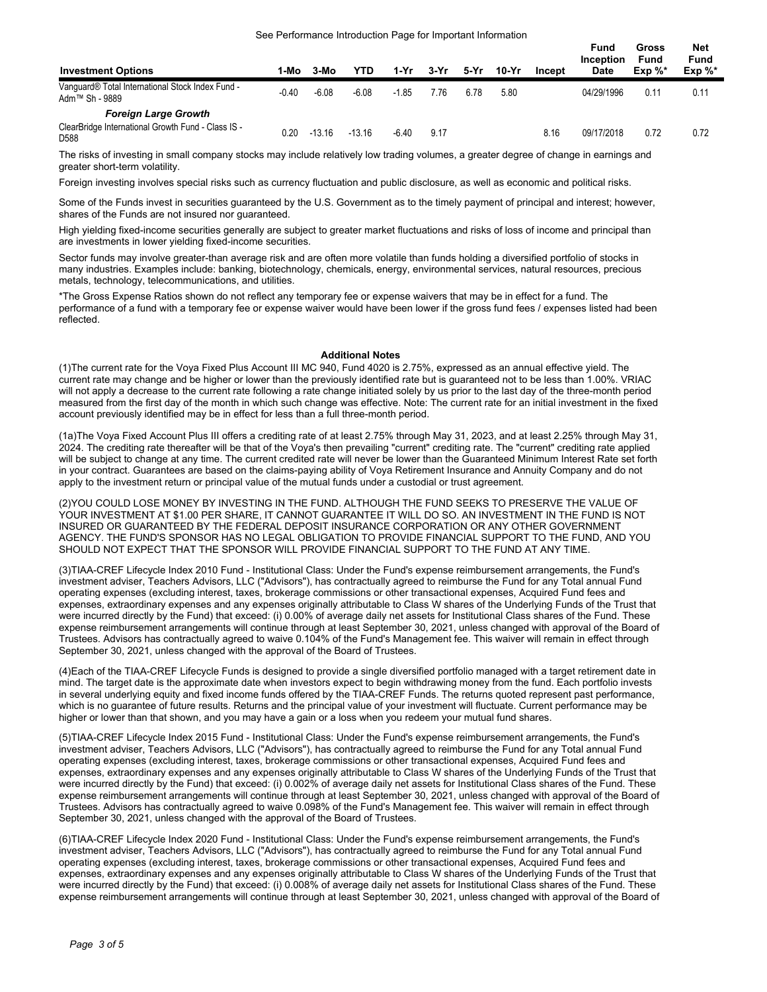| <b>Investment Options</b>                                                                 | 1-Mo    | 3-Mo     | YTD      | 1-Yr    | 3-Yr | 5-Yr | 10-Yr | Incept | Fund<br>Inception<br><b>Date</b> | Gross<br>Fund<br>$Exp \%^*$ | Net<br>Fund<br>Exp $\%^*$ |
|-------------------------------------------------------------------------------------------|---------|----------|----------|---------|------|------|-------|--------|----------------------------------|-----------------------------|---------------------------|
| Vanguard® Total International Stock Index Fund -<br>Adm™ Sh - 9889                        | $-0.40$ | $-6.08$  | $-6.08$  | $-1.85$ | 7.76 | 6.78 | 5.80  |        | 04/29/1996                       | 0.11                        | 0.11                      |
| <b>Foreign Large Growth</b><br>ClearBridge International Growth Fund - Class IS -<br>D588 | 0.20    | $-13.16$ | $-13.16$ | $-6.40$ | 9.17 |      |       | 8.16   | 09/17/2018                       | 0.72                        | 0.72                      |

The risks of investing in small company stocks may include relatively low trading volumes, a greater degree of change in earnings and greater short-term volatility.

Foreign investing involves special risks such as currency fluctuation and public disclosure, as well as economic and political risks.

Some of the Funds invest in securities guaranteed by the U.S. Government as to the timely payment of principal and interest; however, shares of the Funds are not insured nor guaranteed.

High yielding fixed-income securities generally are subject to greater market fluctuations and risks of loss of income and principal than are investments in lower yielding fixed-income securities.

Sector funds may involve greater-than average risk and are often more volatile than funds holding a diversified portfolio of stocks in many industries. Examples include: banking, biotechnology, chemicals, energy, environmental services, natural resources, precious metals, technology, telecommunications, and utilities.

\*The Gross Expense Ratios shown do not reflect any temporary fee or expense waivers that may be in effect for a fund. The performance of a fund with a temporary fee or expense waiver would have been lower if the gross fund fees / expenses listed had been reflected.

#### **Additional Notes**

(1)The current rate for the Voya Fixed Plus Account III MC 940, Fund 4020 is 2.75%, expressed as an annual effective yield. The current rate may change and be higher or lower than the previously identified rate but is guaranteed not to be less than 1.00%. VRIAC will not apply a decrease to the current rate following a rate change initiated solely by us prior to the last day of the three-month period measured from the first day of the month in which such change was effective. Note: The current rate for an initial investment in the fixed account previously identified may be in effect for less than a full three-month period.

(1a)The Voya Fixed Account Plus III offers a crediting rate of at least 2.75% through May 31, 2023, and at least 2.25% through May 31, 2024. The crediting rate thereafter will be that of the Voya's then prevailing "current" crediting rate. The "current" crediting rate applied will be subject to change at any time. The current credited rate will never be lower than the Guaranteed Minimum Interest Rate set forth in your contract. Guarantees are based on the claims-paying ability of Voya Retirement Insurance and Annuity Company and do not apply to the investment return or principal value of the mutual funds under a custodial or trust agreement.

(2)YOU COULD LOSE MONEY BY INVESTING IN THE FUND. ALTHOUGH THE FUND SEEKS TO PRESERVE THE VALUE OF YOUR INVESTMENT AT \$1.00 PER SHARE, IT CANNOT GUARANTEE IT WILL DO SO. AN INVESTMENT IN THE FUND IS NOT INSURED OR GUARANTEED BY THE FEDERAL DEPOSIT INSURANCE CORPORATION OR ANY OTHER GOVERNMENT AGENCY. THE FUND'S SPONSOR HAS NO LEGAL OBLIGATION TO PROVIDE FINANCIAL SUPPORT TO THE FUND, AND YOU SHOULD NOT EXPECT THAT THE SPONSOR WILL PROVIDE FINANCIAL SUPPORT TO THE FUND AT ANY TIME.

(3)TIAA-CREF Lifecycle Index 2010 Fund - Institutional Class: Under the Fund's expense reimbursement arrangements, the Fund's investment adviser, Teachers Advisors, LLC ("Advisors"), has contractually agreed to reimburse the Fund for any Total annual Fund operating expenses (excluding interest, taxes, brokerage commissions or other transactional expenses, Acquired Fund fees and expenses, extraordinary expenses and any expenses originally attributable to Class W shares of the Underlying Funds of the Trust that were incurred directly by the Fund) that exceed: (i) 0.00% of average daily net assets for Institutional Class shares of the Fund. These expense reimbursement arrangements will continue through at least September 30, 2021, unless changed with approval of the Board of Trustees. Advisors has contractually agreed to waive 0.104% of the Fund's Management fee. This waiver will remain in effect through September 30, 2021, unless changed with the approval of the Board of Trustees.

(4)Each of the TIAA-CREF Lifecycle Funds is designed to provide a single diversified portfolio managed with a target retirement date in mind. The target date is the approximate date when investors expect to begin withdrawing money from the fund. Each portfolio invests in several underlying equity and fixed income funds offered by the TIAA-CREF Funds. The returns quoted represent past performance, which is no guarantee of future results. Returns and the principal value of your investment will fluctuate. Current performance may be higher or lower than that shown, and you may have a gain or a loss when you redeem your mutual fund shares.

(5)TIAA-CREF Lifecycle Index 2015 Fund - Institutional Class: Under the Fund's expense reimbursement arrangements, the Fund's investment adviser, Teachers Advisors, LLC ("Advisors"), has contractually agreed to reimburse the Fund for any Total annual Fund operating expenses (excluding interest, taxes, brokerage commissions or other transactional expenses, Acquired Fund fees and expenses, extraordinary expenses and any expenses originally attributable to Class W shares of the Underlying Funds of the Trust that were incurred directly by the Fund) that exceed: (i) 0.002% of average daily net assets for Institutional Class shares of the Fund. These expense reimbursement arrangements will continue through at least September 30, 2021, unless changed with approval of the Board of Trustees. Advisors has contractually agreed to waive 0.098% of the Fund's Management fee. This waiver will remain in effect through September 30, 2021, unless changed with the approval of the Board of Trustees.

(6)TIAA-CREF Lifecycle Index 2020 Fund - Institutional Class: Under the Fund's expense reimbursement arrangements, the Fund's investment adviser, Teachers Advisors, LLC ("Advisors"), has contractually agreed to reimburse the Fund for any Total annual Fund operating expenses (excluding interest, taxes, brokerage commissions or other transactional expenses, Acquired Fund fees and expenses, extraordinary expenses and any expenses originally attributable to Class W shares of the Underlying Funds of the Trust that were incurred directly by the Fund) that exceed: (i) 0.008% of average daily net assets for Institutional Class shares of the Fund. These expense reimbursement arrangements will continue through at least September 30, 2021, unless changed with approval of the Board of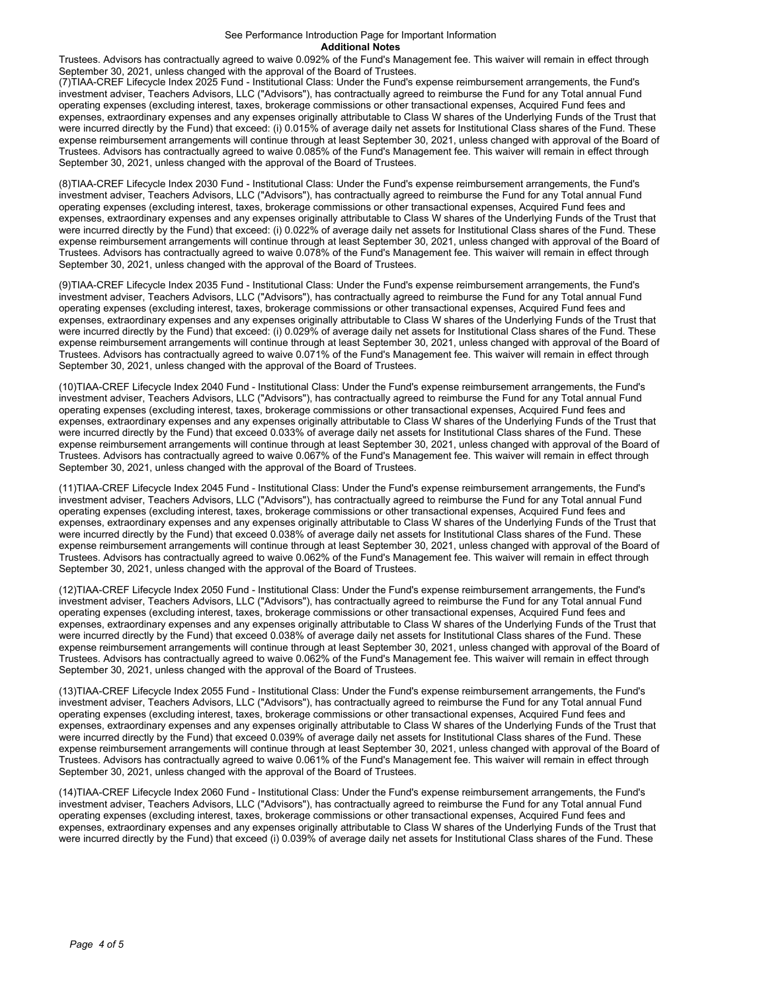#### See Performance Introduction Page for Important Information **Additional Notes**

Trustees. Advisors has contractually agreed to waive 0.092% of the Fund's Management fee. This waiver will remain in effect through September 30, 2021, unless changed with the approval of the Board of Trustees.

(7)TIAA-CREF Lifecycle Index 2025 Fund - Institutional Class: Under the Fund's expense reimbursement arrangements, the Fund's investment adviser, Teachers Advisors, LLC ("Advisors"), has contractually agreed to reimburse the Fund for any Total annual Fund operating expenses (excluding interest, taxes, brokerage commissions or other transactional expenses, Acquired Fund fees and expenses, extraordinary expenses and any expenses originally attributable to Class W shares of the Underlying Funds of the Trust that were incurred directly by the Fund) that exceed: (i) 0.015% of average daily net assets for Institutional Class shares of the Fund. These expense reimbursement arrangements will continue through at least September 30, 2021, unless changed with approval of the Board of Trustees. Advisors has contractually agreed to waive 0.085% of the Fund's Management fee. This waiver will remain in effect through September 30, 2021, unless changed with the approval of the Board of Trustees.

(8)TIAA-CREF Lifecycle Index 2030 Fund - Institutional Class: Under the Fund's expense reimbursement arrangements, the Fund's investment adviser, Teachers Advisors, LLC ("Advisors"), has contractually agreed to reimburse the Fund for any Total annual Fund operating expenses (excluding interest, taxes, brokerage commissions or other transactional expenses, Acquired Fund fees and expenses, extraordinary expenses and any expenses originally attributable to Class W shares of the Underlying Funds of the Trust that were incurred directly by the Fund) that exceed: (i) 0.022% of average daily net assets for Institutional Class shares of the Fund. These expense reimbursement arrangements will continue through at least September 30, 2021, unless changed with approval of the Board of Trustees. Advisors has contractually agreed to waive 0.078% of the Fund's Management fee. This waiver will remain in effect through September 30, 2021, unless changed with the approval of the Board of Trustees.

(9)TIAA-CREF Lifecycle Index 2035 Fund - Institutional Class: Under the Fund's expense reimbursement arrangements, the Fund's investment adviser, Teachers Advisors, LLC ("Advisors"), has contractually agreed to reimburse the Fund for any Total annual Fund operating expenses (excluding interest, taxes, brokerage commissions or other transactional expenses, Acquired Fund fees and expenses, extraordinary expenses and any expenses originally attributable to Class W shares of the Underlying Funds of the Trust that were incurred directly by the Fund) that exceed: (i) 0.029% of average daily net assets for Institutional Class shares of the Fund. These expense reimbursement arrangements will continue through at least September 30, 2021, unless changed with approval of the Board of Trustees. Advisors has contractually agreed to waive 0.071% of the Fund's Management fee. This waiver will remain in effect through September 30, 2021, unless changed with the approval of the Board of Trustees.

(10)TIAA-CREF Lifecycle Index 2040 Fund - Institutional Class: Under the Fund's expense reimbursement arrangements, the Fund's investment adviser, Teachers Advisors, LLC ("Advisors"), has contractually agreed to reimburse the Fund for any Total annual Fund operating expenses (excluding interest, taxes, brokerage commissions or other transactional expenses, Acquired Fund fees and expenses, extraordinary expenses and any expenses originally attributable to Class W shares of the Underlying Funds of the Trust that were incurred directly by the Fund) that exceed 0.033% of average daily net assets for Institutional Class shares of the Fund. These expense reimbursement arrangements will continue through at least September 30, 2021, unless changed with approval of the Board of Trustees. Advisors has contractually agreed to waive 0.067% of the Fund's Management fee. This waiver will remain in effect through September 30, 2021, unless changed with the approval of the Board of Trustees.

(11)TIAA-CREF Lifecycle Index 2045 Fund - Institutional Class: Under the Fund's expense reimbursement arrangements, the Fund's investment adviser, Teachers Advisors, LLC ("Advisors"), has contractually agreed to reimburse the Fund for any Total annual Fund operating expenses (excluding interest, taxes, brokerage commissions or other transactional expenses, Acquired Fund fees and expenses, extraordinary expenses and any expenses originally attributable to Class W shares of the Underlying Funds of the Trust that were incurred directly by the Fund) that exceed 0.038% of average daily net assets for Institutional Class shares of the Fund. These expense reimbursement arrangements will continue through at least September 30, 2021, unless changed with approval of the Board of Trustees. Advisors has contractually agreed to waive 0.062% of the Fund's Management fee. This waiver will remain in effect through September 30, 2021, unless changed with the approval of the Board of Trustees.

(12)TIAA-CREF Lifecycle Index 2050 Fund - Institutional Class: Under the Fund's expense reimbursement arrangements, the Fund's investment adviser, Teachers Advisors, LLC ("Advisors"), has contractually agreed to reimburse the Fund for any Total annual Fund operating expenses (excluding interest, taxes, brokerage commissions or other transactional expenses, Acquired Fund fees and expenses, extraordinary expenses and any expenses originally attributable to Class W shares of the Underlying Funds of the Trust that were incurred directly by the Fund) that exceed 0.038% of average daily net assets for Institutional Class shares of the Fund. These expense reimbursement arrangements will continue through at least September 30, 2021, unless changed with approval of the Board of Trustees. Advisors has contractually agreed to waive 0.062% of the Fund's Management fee. This waiver will remain in effect through September 30, 2021, unless changed with the approval of the Board of Trustees.

(13)TIAA-CREF Lifecycle Index 2055 Fund - Institutional Class: Under the Fund's expense reimbursement arrangements, the Fund's investment adviser, Teachers Advisors, LLC ("Advisors"), has contractually agreed to reimburse the Fund for any Total annual Fund operating expenses (excluding interest, taxes, brokerage commissions or other transactional expenses, Acquired Fund fees and expenses, extraordinary expenses and any expenses originally attributable to Class W shares of the Underlying Funds of the Trust that were incurred directly by the Fund) that exceed 0.039% of average daily net assets for Institutional Class shares of the Fund. These expense reimbursement arrangements will continue through at least September 30, 2021, unless changed with approval of the Board of Trustees. Advisors has contractually agreed to waive 0.061% of the Fund's Management fee. This waiver will remain in effect through September 30, 2021, unless changed with the approval of the Board of Trustees.

(14)TIAA-CREF Lifecycle Index 2060 Fund - Institutional Class: Under the Fund's expense reimbursement arrangements, the Fund's investment adviser, Teachers Advisors, LLC ("Advisors"), has contractually agreed to reimburse the Fund for any Total annual Fund operating expenses (excluding interest, taxes, brokerage commissions or other transactional expenses, Acquired Fund fees and expenses, extraordinary expenses and any expenses originally attributable to Class W shares of the Underlying Funds of the Trust that were incurred directly by the Fund) that exceed (i) 0.039% of average daily net assets for Institutional Class shares of the Fund. These